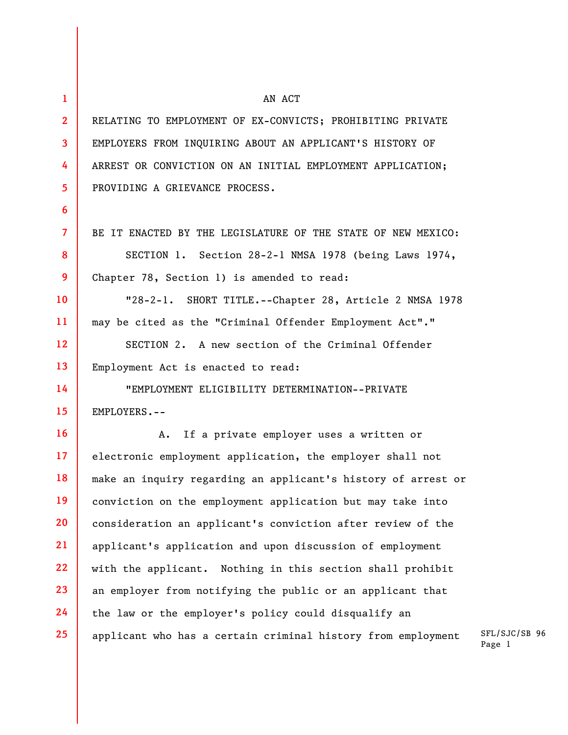| 1                       | AN ACT                                                        |
|-------------------------|---------------------------------------------------------------|
| $\overline{2}$          | RELATING TO EMPLOYMENT OF EX-CONVICTS; PROHIBITING PRIVATE    |
| $\overline{\mathbf{3}}$ | EMPLOYERS FROM INQUIRING ABOUT AN APPLICANT'S HISTORY OF      |
| 4                       | ARREST OR CONVICTION ON AN INITIAL EMPLOYMENT APPLICATION;    |
| 5 <sup>1</sup>          | PROVIDING A GRIEVANCE PROCESS.                                |
| 6                       |                                                               |
| $\overline{7}$          | BE IT ENACTED BY THE LEGISLATURE OF THE STATE OF NEW MEXICO:  |
| 8                       | SECTION 1. Section 28-2-1 NMSA 1978 (being Laws 1974,         |
| 9                       | Chapter 78, Section 1) is amended to read:                    |
| 10                      | "28-2-1. SHORT TITLE.--Chapter 28, Article 2 NMSA 1978        |
| 11                      | may be cited as the "Criminal Offender Employment Act"."      |
| 12                      | SECTION 2. A new section of the Criminal Offender             |
| 13                      | Employment Act is enacted to read:                            |
| 14                      | "EMPLOYMENT ELIGIBILITY DETERMINATION--PRIVATE                |
| 15                      | EMPLOYERS.--                                                  |
| 16                      | If a private employer uses a written or<br>A.                 |
| 17                      | electronic employment application, the employer shall not     |
| 18                      | make an inquiry regarding an applicant's history of arrest or |
| 19                      | conviction on the employment application but may take into    |
| 20                      | consideration an applicant's conviction after review of the   |
| 21                      | applicant's application and upon discussion of employment     |
| 22                      | with the applicant. Nothing in this section shall prohibit    |
| 23                      | an employer from notifying the public or an applicant that    |
| 24                      | the law or the employer's policy could disqualify an          |
| 25                      | applicant who has a certain criminal history from employment  |

SFL/SJC/SB 96 Page 1